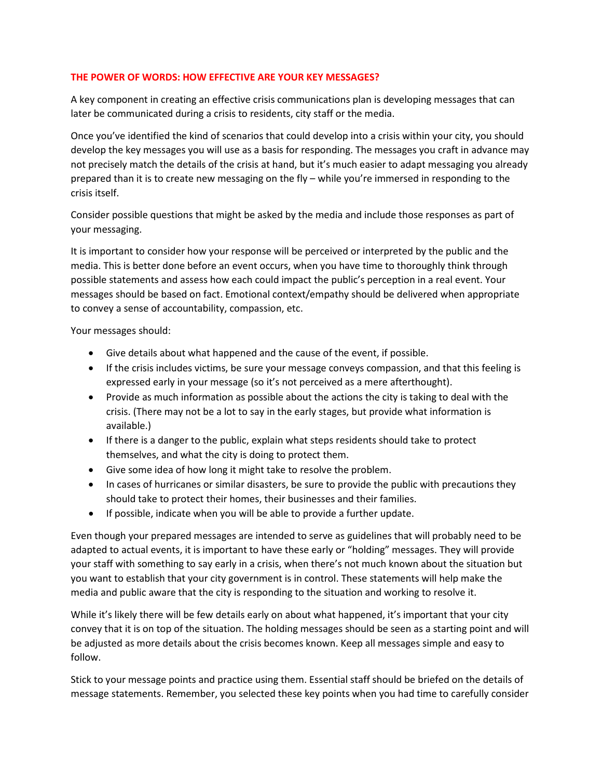## **THE POWER OF WORDS: HOW EFFECTIVE ARE YOUR KEY MESSAGES?**

A key component in creating an effective crisis communications plan is developing messages that can later be communicated during a crisis to residents, city staff or the media.

Once you've identified the kind of scenarios that could develop into a crisis within your city, you should develop the key messages you will use as a basis for responding. The messages you craft in advance may not precisely match the details of the crisis at hand, but it's much easier to adapt messaging you already prepared than it is to create new messaging on the fly – while you're immersed in responding to the crisis itself.

Consider possible questions that might be asked by the media and include those responses as part of your messaging.

It is important to consider how your response will be perceived or interpreted by the public and the media. This is better done before an event occurs, when you have time to thoroughly think through possible statements and assess how each could impact the public's perception in a real event. Your messages should be based on fact. Emotional context/empathy should be delivered when appropriate to convey a sense of accountability, compassion, etc.

Your messages should:

- Give details about what happened and the cause of the event, if possible.
- If the crisis includes victims, be sure your message conveys compassion, and that this feeling is expressed early in your message (so it's not perceived as a mere afterthought).
- Provide as much information as possible about the actions the city is taking to deal with the crisis. (There may not be a lot to say in the early stages, but provide what information is available.)
- If there is a danger to the public, explain what steps residents should take to protect themselves, and what the city is doing to protect them.
- Give some idea of how long it might take to resolve the problem.
- In cases of hurricanes or similar disasters, be sure to provide the public with precautions they should take to protect their homes, their businesses and their families.
- If possible, indicate when you will be able to provide a further update.

Even though your prepared messages are intended to serve as guidelines that will probably need to be adapted to actual events, it is important to have these early or "holding" messages. They will provide your staff with something to say early in a crisis, when there's not much known about the situation but you want to establish that your city government is in control. These statements will help make the media and public aware that the city is responding to the situation and working to resolve it.

While it's likely there will be few details early on about what happened, it's important that your city convey that it is on top of the situation. The holding messages should be seen as a starting point and will be adjusted as more details about the crisis becomes known. Keep all messages simple and easy to follow.

Stick to your message points and practice using them. Essential staff should be briefed on the details of message statements. Remember, you selected these key points when you had time to carefully consider